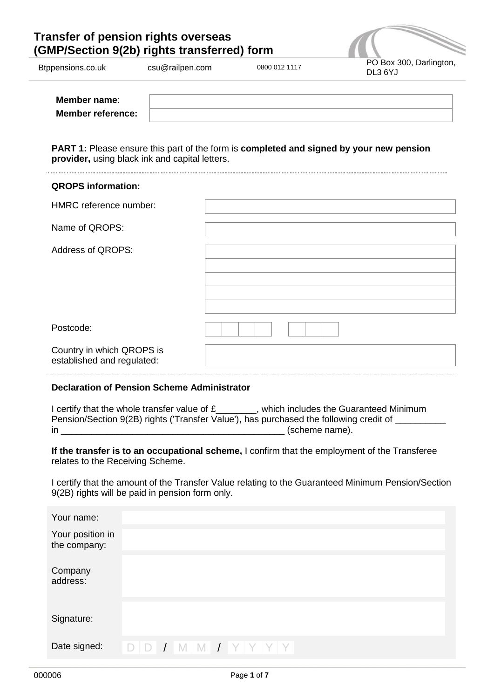# **Transfer of pension rights overseas (GMP/Section 9(2b) rights transferred) form**



| wppononono.co.un         | <b>COU</b> @Taliport.com | 00000012111 | DL3 6YJ |
|--------------------------|--------------------------|-------------|---------|
|                          |                          |             |         |
| Member name:             |                          |             |         |
| <b>Member reference:</b> |                          |             |         |

**PART 1:** Please ensure this part of the form is **completed and signed by your new pension provider,** using black ink and capital letters.

| <b>QROPS</b> information:                               |  |
|---------------------------------------------------------|--|
| HMRC reference number:                                  |  |
| Name of QROPS:                                          |  |
| Address of QROPS:                                       |  |
| Postcode:                                               |  |
| Country in which QROPS is<br>established and regulated: |  |

#### **Declaration of Pension Scheme Administrator**

I certify that the whole transfer value of £\_\_\_\_\_\_, which includes the Guaranteed Minimum Pension/Section 9(2B) rights ('Transfer Value'), has purchased the following credit of \_\_\_\_\_\_\_\_\_\_\_\_\_ in \_\_\_\_\_\_\_\_\_\_\_\_\_\_\_\_\_\_\_\_\_\_\_\_\_\_\_\_\_\_\_\_\_\_\_\_\_\_\_\_\_\_\_\_ (scheme name).

**If the transfer is to an occupational scheme,** I confirm that the employment of the Transferee relates to the Receiving Scheme.

I certify that the amount of the Transfer Value relating to the Guaranteed Minimum Pension/Section 9(2B) rights will be paid in pension form only.

| Your name:                       |  |                       |  |  |
|----------------------------------|--|-----------------------|--|--|
| Your position in<br>the company: |  |                       |  |  |
| Company<br>address:              |  |                       |  |  |
| Signature:                       |  |                       |  |  |
| Date signed:                     |  | $D D I M M I Y Y Y Y$ |  |  |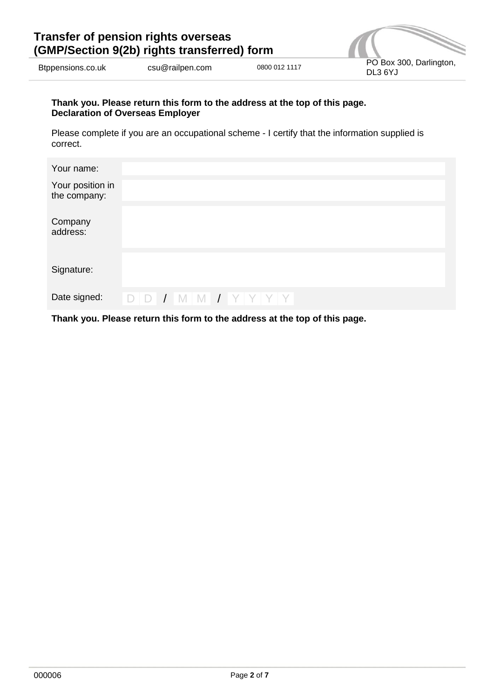| Transfer of pension rights overseas<br>(GMP/Section 9(2b) rights transferred) form |                 |               |                                    |
|------------------------------------------------------------------------------------|-----------------|---------------|------------------------------------|
| Btppensions.co.uk                                                                  | csu@railpen.com | 0800 012 1117 | PO Box 300, Darlington,<br>DL3 6YJ |

## **Thank you. Please return this form to the address at the top of this page. Declaration of Overseas Employer**

Please complete if you are an occupational scheme - I certify that the information supplied is correct.

| Your name:                       |  |                       |  |  |
|----------------------------------|--|-----------------------|--|--|
| Your position in<br>the company: |  |                       |  |  |
| Company<br>address:              |  |                       |  |  |
| Signature:                       |  |                       |  |  |
| Date signed:                     |  | $D D I M M I Y Y Y Y$ |  |  |

**Thank you. Please return this form to the address at the top of this page.**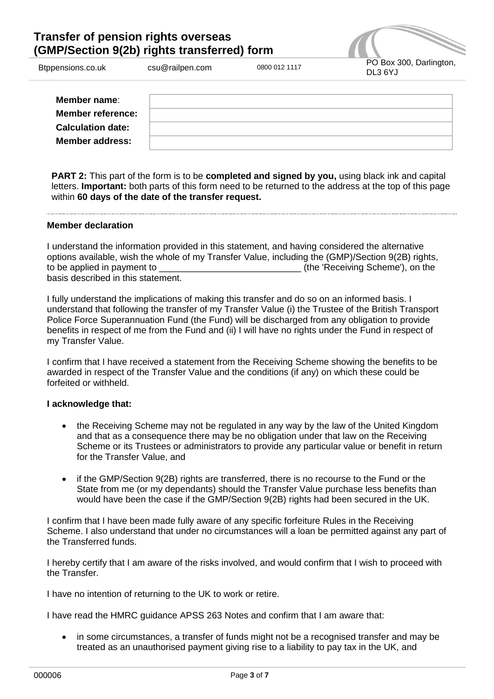# **Transfer of pension rights overseas (GMP/Section 9(2b) rights transferred) form**



| Member name:             |  |
|--------------------------|--|
| <b>Member reference:</b> |  |
| <b>Calculation date:</b> |  |
| <b>Member address:</b>   |  |

**PART 2:** This part of the form is to be **completed and signed by you,** using black ink and capital letters. **Important:** both parts of this form need to be returned to the address at the top of this page within **60 days of the date of the transfer request.**

## **Member declaration**

I understand the information provided in this statement, and having considered the alternative options available, wish the whole of my Transfer Value, including the (GMP)/Section 9(2B) rights, to be applied in payment to \_\_\_\_\_\_\_\_\_\_\_\_\_\_\_\_\_\_\_\_\_\_\_\_\_\_\_\_ (the 'Receiving Scheme'), on the basis described in this statement.

I fully understand the implications of making this transfer and do so on an informed basis. I understand that following the transfer of my Transfer Value (i) the Trustee of the British Transport Police Force Superannuation Fund (the Fund) will be discharged from any obligation to provide benefits in respect of me from the Fund and (ii) I will have no rights under the Fund in respect of my Transfer Value.

I confirm that I have received a statement from the Receiving Scheme showing the benefits to be awarded in respect of the Transfer Value and the conditions (if any) on which these could be forfeited or withheld.

## **I acknowledge that:**

- the Receiving Scheme may not be regulated in any way by the law of the United Kingdom and that as a consequence there may be no obligation under that law on the Receiving Scheme or its Trustees or administrators to provide any particular value or benefit in return for the Transfer Value, and
- if the GMP/Section 9(2B) rights are transferred, there is no recourse to the Fund or the State from me (or my dependants) should the Transfer Value purchase less benefits than would have been the case if the GMP/Section 9(2B) rights had been secured in the UK.

I confirm that I have been made fully aware of any specific forfeiture Rules in the Receiving Scheme. I also understand that under no circumstances will a loan be permitted against any part of the Transferred funds.

I hereby certify that I am aware of the risks involved, and would confirm that I wish to proceed with the Transfer.

I have no intention of returning to the UK to work or retire.

I have read the HMRC guidance APSS 263 Notes and confirm that I am aware that:

• in some circumstances, a transfer of funds might not be a recognised transfer and may be treated as an unauthorised payment giving rise to a liability to pay tax in the UK, and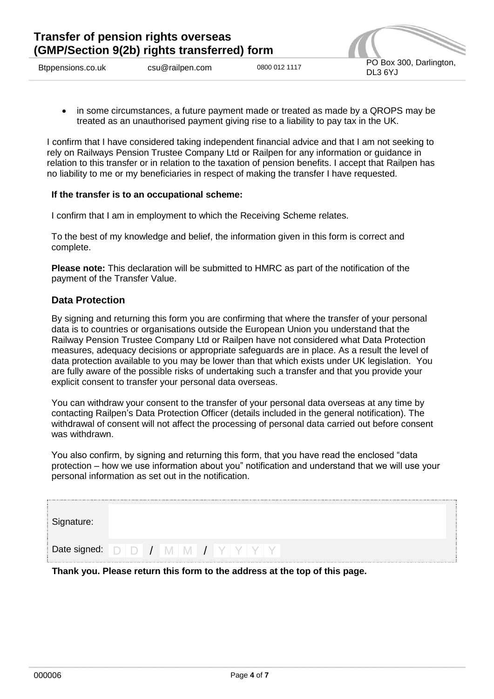

 in some circumstances, a future payment made or treated as made by a QROPS may be treated as an unauthorised payment giving rise to a liability to pay tax in the UK.

I confirm that I have considered taking independent financial advice and that I am not seeking to rely on Railways Pension Trustee Company Ltd or Railpen for any information or guidance in relation to this transfer or in relation to the taxation of pension benefits. I accept that Railpen has no liability to me or my beneficiaries in respect of making the transfer I have requested.

## **If the transfer is to an occupational scheme:**

I confirm that I am in employment to which the Receiving Scheme relates.

To the best of my knowledge and belief, the information given in this form is correct and complete.

**Please note:** This declaration will be submitted to HMRC as part of the notification of the payment of the Transfer Value.

# **Data Protection**

By signing and returning this form you are confirming that where the transfer of your personal data is to countries or organisations outside the European Union you understand that the Railway Pension Trustee Company Ltd or Railpen have not considered what Data Protection measures, adequacy decisions or appropriate safeguards are in place. As a result the level of data protection available to you may be lower than that which exists under UK legislation. You are fully aware of the possible risks of undertaking such a transfer and that you provide your explicit consent to transfer your personal data overseas.

You can withdraw your consent to the transfer of your personal data overseas at any time by contacting Railpen's Data Protection Officer (details included in the general notification). The withdrawal of consent will not affect the processing of personal data carried out before consent was withdrawn.

You also confirm, by signing and returning this form, that you have read the enclosed "data protection – how we use information about you" notification and understand that we will use your personal information as set out in the notification.

| Signature: |  |  |                                                                            |  |
|------------|--|--|----------------------------------------------------------------------------|--|
|            |  |  | Date signed: $D$   $D$   $\prime$   $M$   $M$   $\prime$   $Y$   $Y$   $Y$ |  |

**Thank you. Please return this form to the address at the top of this page.**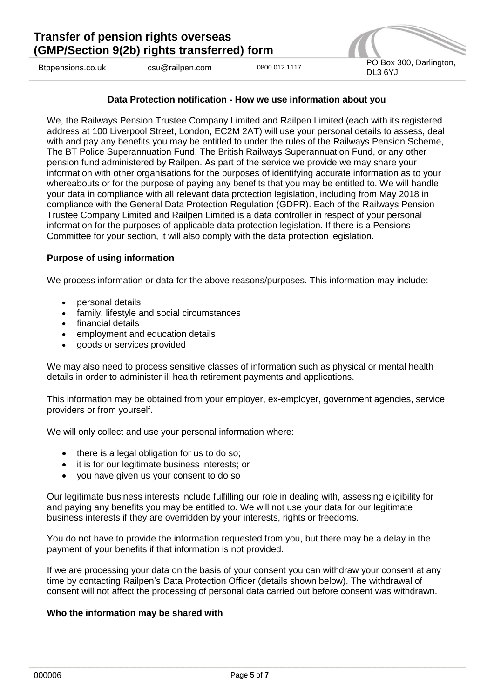

**Data Protection notification - How we use information about you**

We, the Railways Pension Trustee Company Limited and Railpen Limited (each with its registered address at 100 Liverpool Street, London, EC2M 2AT) will use your personal details to assess, deal with and pay any benefits you may be entitled to under the rules of the Railways Pension Scheme, The BT Police Superannuation Fund, The British Railways Superannuation Fund, or any other pension fund administered by Railpen. As part of the service we provide we may share your information with other organisations for the purposes of identifying accurate information as to your whereabouts or for the purpose of paying any benefits that you may be entitled to. We will handle your data in compliance with all relevant data protection legislation, including from May 2018 in compliance with the General Data Protection Regulation (GDPR). Each of the Railways Pension Trustee Company Limited and Railpen Limited is a data controller in respect of your personal information for the purposes of applicable data protection legislation. If there is a Pensions Committee for your section, it will also comply with the data protection legislation.

#### **Purpose of using information**

We process information or data for the above reasons/purposes. This information may include:

- personal details
- family, lifestyle and social circumstances
- financial details
- employment and education details
- goods or services provided

We may also need to process sensitive classes of information such as physical or mental health details in order to administer ill health retirement payments and applications.

This information may be obtained from your employer, ex-employer, government agencies, service providers or from yourself.

We will only collect and use your personal information where:

- $\bullet$  there is a legal obligation for us to do so;
- it is for our legitimate business interests; or
- vou have given us your consent to do so

Our legitimate business interests include fulfilling our role in dealing with, assessing eligibility for and paying any benefits you may be entitled to. We will not use your data for our legitimate business interests if they are overridden by your interests, rights or freedoms.

You do not have to provide the information requested from you, but there may be a delay in the payment of your benefits if that information is not provided.

If we are processing your data on the basis of your consent you can withdraw your consent at any time by contacting Railpen's Data Protection Officer (details shown below). The withdrawal of consent will not affect the processing of personal data carried out before consent was withdrawn.

#### **Who the information may be shared with**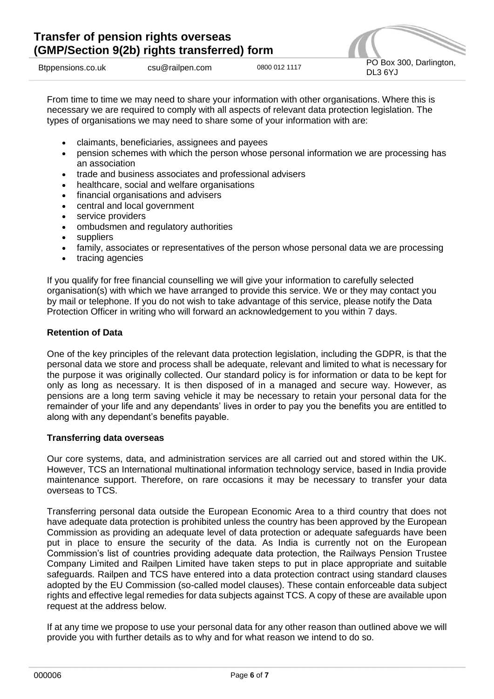

From time to time we may need to share your information with other organisations. Where this is necessary we are required to comply with all aspects of relevant data protection legislation. The types of organisations we may need to share some of your information with are:

- claimants, beneficiaries, assignees and payees
- pension schemes with which the person whose personal information we are processing has an association
- trade and business associates and professional advisers
- healthcare, social and welfare organisations
- financial organisations and advisers
- central and local government
- service providers
- ombudsmen and regulatory authorities
- suppliers
- family, associates or representatives of the person whose personal data we are processing
- tracing agencies

If you qualify for free financial counselling we will give your information to carefully selected organisation(s) with which we have arranged to provide this service. We or they may contact you by mail or telephone. If you do not wish to take advantage of this service, please notify the Data Protection Officer in writing who will forward an acknowledgement to you within 7 days.

## **Retention of Data**

One of the key principles of the relevant data protection legislation, including the GDPR, is that the personal data we store and process shall be adequate, relevant and limited to what is necessary for the purpose it was originally collected. Our standard policy is for information or data to be kept for only as long as necessary. It is then disposed of in a managed and secure way. However, as pensions are a long term saving vehicle it may be necessary to retain your personal data for the remainder of your life and any dependants' lives in order to pay you the benefits you are entitled to along with any dependant's benefits payable.

## **Transferring data overseas**

Our core systems, data, and administration services are all carried out and stored within the UK. However, TCS an International multinational information technology service, based in India provide maintenance support. Therefore, on rare occasions it may be necessary to transfer your data overseas to TCS.

Transferring personal data outside the European Economic Area to a third country that does not have adequate data protection is prohibited unless the country has been approved by the European Commission as providing an adequate level of data protection or adequate safeguards have been put in place to ensure the security of the data. As India is currently not on the European Commission's list of countries providing adequate data protection, the Railways Pension Trustee Company Limited and Railpen Limited have taken steps to put in place appropriate and suitable safeguards. Railpen and TCS have entered into a data protection contract using standard clauses adopted by the EU Commission (so-called model clauses). These contain enforceable data subject rights and effective legal remedies for data subjects against TCS. A copy of these are available upon request at the address below.

If at any time we propose to use your personal data for any other reason than outlined above we will provide you with further details as to why and for what reason we intend to do so.